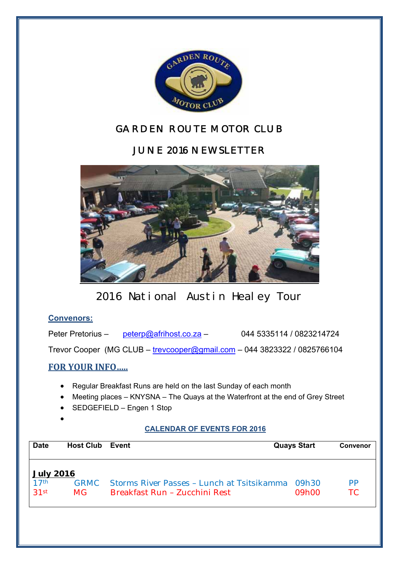

## *GARDEN ROUTE MOTOR CLUB*

## *JUNE 2016 NEWSLETTER*



2016 National Austin Healey Tour

### **Convenors:**

Peter Pretorius – peterp@afrihost.co.za – 044 5335114 / 0823214724

Trevor Cooper (MG CLUB – trevcooper@gmail.com – 044 3823322 / 0825766104

## **FOR YOUR INFO…..**

- Regular Breakfast Runs are held on the last Sunday of each month
- Meeting places KNYSNA The Quays at the Waterfront at the end of Grey Street
- SEDGEFIELD Engen 1 Stop
- $\bullet$

#### **CALENDAR OF EVENTS FOR 2016**

| <b>Date</b>                                  | <b>Host Club</b> | Event                                                                              | <b>Quays Start</b>         | <b>Convenor</b>        |
|----------------------------------------------|------------------|------------------------------------------------------------------------------------|----------------------------|------------------------|
| <b>July 2016</b><br>17 <sup>th</sup><br>31st | GRMC.<br>MG.     | <b>Storms River Passes - Lunch at Tsitsikamma</b><br>Breakfast Run - Zucchini Rest | 09h30<br>09 <sub>h00</sub> | <b>PP</b><br><b>TC</b> |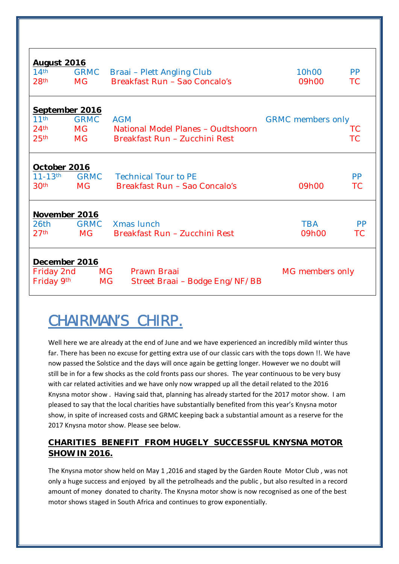| <b>August 2016</b>                        |             |                                             |                          |           |  |  |  |
|-------------------------------------------|-------------|---------------------------------------------|--------------------------|-----------|--|--|--|
| 14 <sup>th</sup>                          | <b>GRMC</b> | Braai – Plett Angling Club                  | 10 <sub>h</sub> 00       | <b>PP</b> |  |  |  |
| 28 <sup>th</sup>                          | <b>MG</b>   | Breakfast Run - Sao Concalo's               | 09h00                    | <b>TC</b> |  |  |  |
|                                           |             |                                             |                          |           |  |  |  |
| <b>September 2016</b><br>11 <sup>th</sup> |             |                                             |                          |           |  |  |  |
|                                           | <b>GRMC</b> | <b>AGM</b>                                  | <b>GRMC</b> members only |           |  |  |  |
| 24 <sup>th</sup>                          | MG          | National Model Planes - Oudtshoorn          |                          | TC        |  |  |  |
| 25 <sup>th</sup>                          | <b>MG</b>   | Breakfast Run - Zucchini Rest               |                          | ТC        |  |  |  |
|                                           |             |                                             |                          |           |  |  |  |
| October 2016                              |             |                                             |                          |           |  |  |  |
| $11 - 13$ th                              | <b>GRMC</b> | <b>Technical Tour to PE</b>                 |                          | <b>PP</b> |  |  |  |
| 30 <sup>th</sup>                          | <b>MG</b>   | Breakfast Run - Sao Concalo's               | 09h00                    | <b>TC</b> |  |  |  |
|                                           |             |                                             |                          |           |  |  |  |
| November 2016                             |             |                                             |                          |           |  |  |  |
| 26th                                      | <b>GRMC</b> | Xmas lunch                                  | <b>TBA</b>               | <b>PP</b> |  |  |  |
| 27 <sup>th</sup>                          | <b>MG</b>   | Breakfast Run - Zucchini Rest               | 09h00                    | TC        |  |  |  |
|                                           |             |                                             |                          |           |  |  |  |
| <b>December 2016</b>                      |             |                                             |                          |           |  |  |  |
| Friday 2nd                                |             | Prawn Braai<br>MG.                          | MG members only          |           |  |  |  |
| Friday 9th                                |             | <b>MG</b><br>Street Braai – Bodge Eng/NF/BB |                          |           |  |  |  |

# **CHAIRMAN'S CHIRP.**

Well here we are already at the end of June and we have experienced an incredibly mild winter thus far. There has been no excuse for getting extra use of our classic cars with the tops down !!. We have now passed the Solstice and the days will once again be getting longer. However we no doubt will still be in for a few shocks as the cold fronts pass our shores. The year continuous to be very busy with car related activities and we have only now wrapped up all the detail related to the 2016 Knysna motor show . Having said that, planning has already started for the 2017 motor show. I am pleased to say that the local charities have substantially benefited from this year's Knysna motor show, in spite of increased costs and GRMC keeping back a substantial amount as a reserve for the 2017 Knysna motor show. Please see below.

### **CHARITIES BENEFIT FROM HUGELY SUCCESSFUL KNYSNA MOTOR SHOW IN 2016.**

The Knysna motor show held on May 1 ,2016 and staged by the Garden Route Motor Club , was not only a huge success and enjoyed by all the petrolheads and the public , but also resulted in a record amount of money donated to charity. The Knysna motor show is now recognised as one of the best motor shows staged in South Africa and continues to grow exponentially.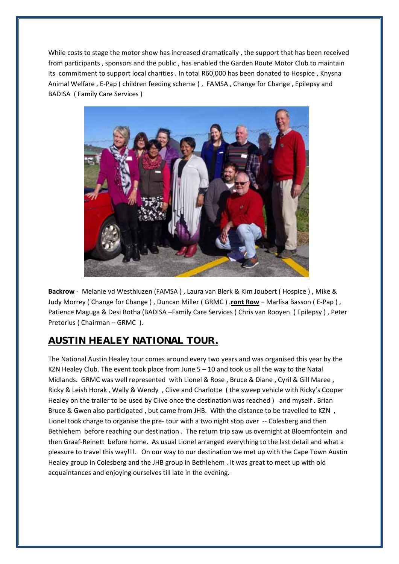While costs to stage the motor show has increased dramatically , the support that has been received from participants , sponsors and the public , has enabled the Garden Route Motor Club to maintain its commitment to support local charities . In total R60,000 has been donated to Hospice , Knysna Animal Welfare, E-Pap ( children feeding scheme ), FAMSA, Change for Change, Epilepsy and BADISA ( Family Care Services )



**Backrow** ‐ Melanie vd Westhiuzen (FAMSA ) , Laura van Blerk & Kim Joubert ( Hospice ) , Mike & Judy Morrey ( Change for Change ) , Duncan Miller ( GRMC ) .**ront Row** – Marlisa Basson ( E‐Pap ) , Patience Maguga & Desi Botha (BADISA –Family Care Services ) Chris van Rooyen ( Epilepsy ) , Peter Pretorius ( Chairman – GRMC ).

## **AUSTIN HEALEY NATIONAL TOUR.**

The National Austin Healey tour comes around every two years and was organised this year by the KZN Healey Club. The event took place from June  $5 - 10$  and took us all the way to the Natal Midlands. GRMC was well represented with Lionel & Rose , Bruce & Diane , Cyril & Gill Maree , Ricky & Leish Horak , Wally & Wendy , Clive and Charlotte ( the sweep vehicle with Ricky's Cooper Healey on the trailer to be used by Clive once the destination was reached ) and myself . Brian Bruce & Gwen also participated, but came from JHB. With the distance to be travelled to KZN, Lionel took charge to organise the pre- tour with a two night stop over -- Colesberg and then Bethlehem before reaching our destination . The return trip saw us overnight at Bloemfontein and then Graaf‐Reinett before home. As usual Lionel arranged everything to the last detail and what a pleasure to travel this way!!!. On our way to our destination we met up with the Cape Town Austin Healey group in Colesberg and the JHB group in Bethlehem . It was great to meet up with old acquaintances and enjoying ourselves till late in the evening.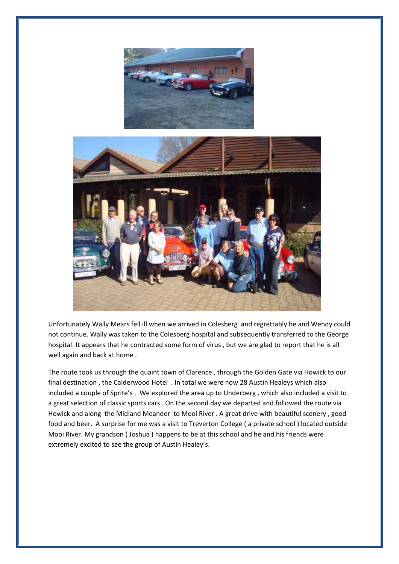



Unfortunately Wally Mears fell ill when we arrived in Colesberg and regrettably he and Wendy could not continue. Wally was taken to the Colesberg hospital and subsequently transferred to the George hospital. It appears that he contracted some form of virus , but we are glad to report that he is all well again and back at home .

The route took us through the quaint town of Clarence , through the Golden Gate via Howick to our final destination , the Calderwood Hotel . In total we were now 28 Austin Healeys which also included a couple of Sprite's . We explored the area up to Underberg , which also included a visit to a great selection of classic sports cars . On the second day we departed and followed the route via Howick and along the Midland Meander to Mooi River . A great drive with beautiful scenery , good food and beer. A surprise for me was a visit to Treverton College ( a private school ) located outside Mooi River. My grandson ( Joshua ) happens to be at this school and he and his friends were extremely excited to see the group of Austin Healey's.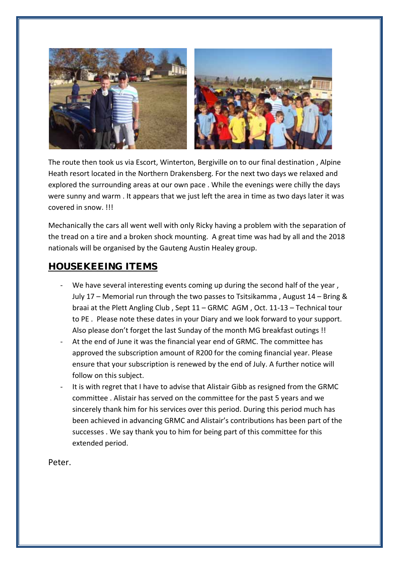

The route then took us via Escort, Winterton, Bergiville on to our final destination , Alpine Heath resort located in the Northern Drakensberg. For the next two days we relaxed and explored the surrounding areas at our own pace . While the evenings were chilly the days were sunny and warm . It appears that we just left the area in time as two days later it was covered in snow. !!!

Mechanically the cars all went well with only Ricky having a problem with the separation of the tread on a tire and a broken shock mounting. A great time was had by all and the 2018 nationals will be organised by the Gauteng Austin Healey group.

### **HOUSEKEEING ITEMS**

- We have several interesting events coming up during the second half of the year, July 17 – Memorial run through the two passes to Tsitsikamma , August 14 – Bring & braai at the Plett Angling Club , Sept 11 – GRMC AGM , Oct. 11‐13 – Technical tour to PE . Please note these dates in your Diary and we look forward to your support. Also please don't forget the last Sunday of the month MG breakfast outings !!
- ‐ At the end of June it was the financial year end of GRMC. The committee has approved the subscription amount of R200 for the coming financial year. Please ensure that your subscription is renewed by the end of July. A further notice will follow on this subject.
- It is with regret that I have to advise that Alistair Gibb as resigned from the GRMC committee . Alistair has served on the committee for the past 5 years and we sincerely thank him for his services over this period. During this period much has been achieved in advancing GRMC and Alistair's contributions has been part of the successes . We say thank you to him for being part of this committee for this extended period.

Peter.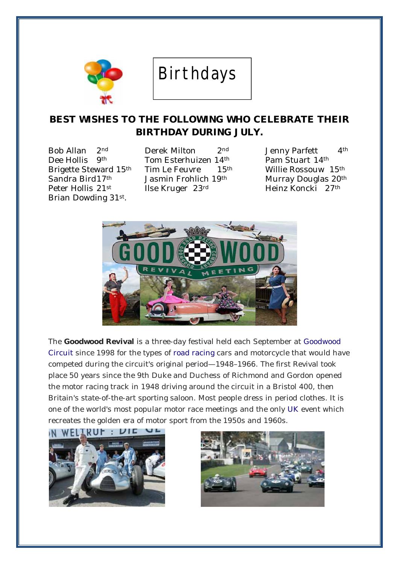

# Birthdays

## **BEST WISHES TO THE FOLLOWING WHO CELEBRATE THEIR BIRTHDAY DURING JULY.**

Brian Dowding 31st.

Bob Allan 2nd Derek Milton 2nd Jenny Parfett 4th Dee Hollis 9th Tom Esterhuizen 14th Pam Stuart 14th Brigette Steward 15th Tim Le Feuvre 15th Willie Rossouw 15th Sandra Bird 17<sup>th</sup> Jasmin Frohlich 19<sup>th</sup> Murray Douglas 20<sup>th</sup> Peter Hollis 21<sup>st</sup> Ilse Kruger 23<sup>rd</sup> Heinz Koncki 27<sup>th</sup>



The **Goodwood Revival** is a three-day festival held each September at Goodwood Circuit since 1998 for the types of road racing cars and motorcycle that would have competed during the circuit's original period—1948–1966. The first Revival took place 50 years since the 9th Duke and Duchess of Richmond and Gordon opened the motor racing track in 1948 driving around the circuit in a Bristol 400, then Britain's state-of-the-art sporting saloon. Most people dress in period clothes. It is one of the world's most popular motor race meetings and the only UK event which recreates the golden era of motor sport from the 1950s and 1960s.



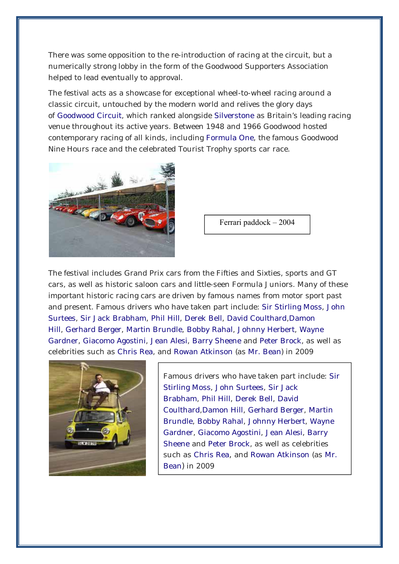There was some opposition to the re-introduction of racing at the circuit, but a numerically strong lobby in the form of the Goodwood Supporters Association helped to lead eventually to approval.

The festival acts as a showcase for exceptional wheel-to-wheel racing around a classic circuit, untouched by the modern world and relives the glory days of Goodwood Circuit, which ranked alongside Silverstone as Britain's leading racing venue throughout its active years. Between 1948 and 1966 Goodwood hosted contemporary racing of all kinds, including Formula One, the famous Goodwood Nine Hours race and the celebrated Tourist Trophy sports car race.



Ferrari paddock – 2004

The festival includes Grand Prix cars from the Fifties and Sixties, sports and GT cars, as well as historic saloon cars and little-seen Formula Juniors. Many of these important historic racing cars are driven by famous names from motor sport past and present. Famous drivers who have taken part include: Sir Stirling Moss, John Surtees, Sir Jack Brabham, Phil Hill, Derek Bell, David Coulthard,Damon Hill, Gerhard Berger, Martin Brundle, Bobby Rahal, Johnny Herbert, Wayne Gardner, Giacomo Agostini, Jean Alesi, Barry Sheene and Peter Brock, as well as celebrities such as Chris Rea, and Rowan Atkinson (as Mr. Bean) in 2009



Famous drivers who have taken part include: Sir Stirling Moss, John Surtees, Sir Jack Brabham, Phil Hill, Derek Bell, David Coulthard,Damon Hill, Gerhard Berger, Martin Brundle, Bobby Rahal, Johnny Herbert, Wayne Gardner, Giacomo Agostini, Jean Alesi, Barry Sheene and Peter Brock, as well as celebrities such as Chris Rea, and Rowan Atkinson (as Mr. Bean) in 2009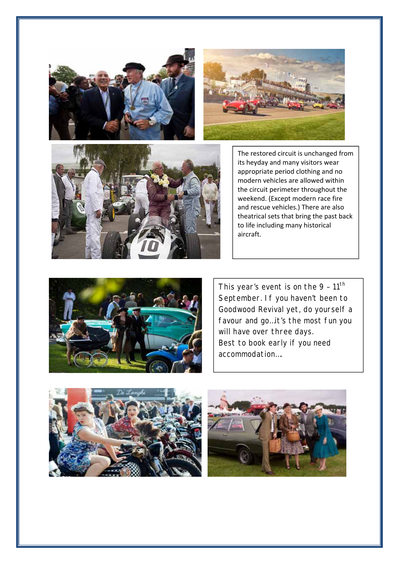





The restored circuit is unchanged from its heyday and many visitors wear appropriate period clothing and no modern vehicles are allowed within the circuit perimeter throughout the weekend. (Except modern race fire and rescue vehicles.) There are also theatrical sets that bring the past back to life including many historical aircraft.



This year's event is on the  $9 - 11$ <sup>th</sup> September. If you haven't been to Goodwood Revival yet, do yourself a favour and go…it's the most fun you will have over three days. Best to book early if you need accommodation….



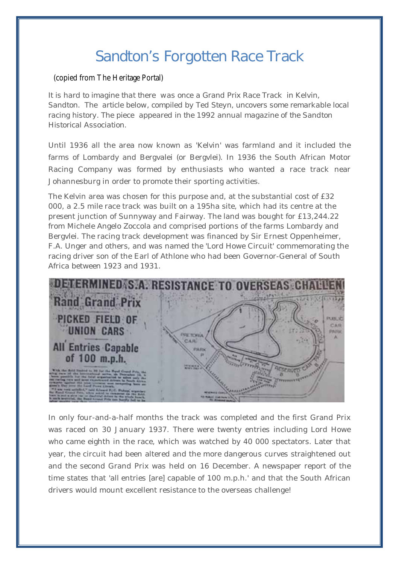# **Sandton's Forgotten Race Track**

#### (copied from The Heritage Portal)

*It is hard to imagine that there was once a Grand Prix Race Track in Kelvin, Sandton. The article below, compiled by Ted Steyn, uncovers some remarkable local racing history. The piece appeared in the 1992 annual magazine of the Sandton Historical Association.*

Until 1936 all the area now known as 'Kelvin' was farmland and it included the farms of Lombardy and Bergvalei (or Bergvlei). In 1936 the South African Motor Racing Company was formed by enthusiasts who wanted a race track near Johannesburg in order to promote their sporting activities.

The Kelvin area was chosen for this purpose and, at the substantial cost of £32 000, a 2.5 mile race track was built on a 195ha site, which had its centre at the present junction of Sunnyway and Fairway. The land was bought for £13,244.22 from Michele Angelo Zoccola and comprised portions of the farms Lombardy and Bergvlei. The racing track development was financed by Sir Ernest Oppenheimer, F.A. Unger and others, and was named the 'Lord Howe Circuit' commemorating the racing driver son of the Earl of Athlone who had been Governor-General of South Africa between 1923 and 1931.



In only four-and-a-half months the track was completed and the first Grand Prix was raced on 30 January 1937. There were twenty entries including Lord Howe who came eighth in the race, which was watched by 40 000 spectators. Later that year, the circuit had been altered and the more dangerous curves straightened out and the second Grand Prix was held on 16 December. A newspaper report of the time states that 'all entries [are] capable of 100 m.p.h.' and that the South African drivers would mount excellent resistance to the overseas challenge!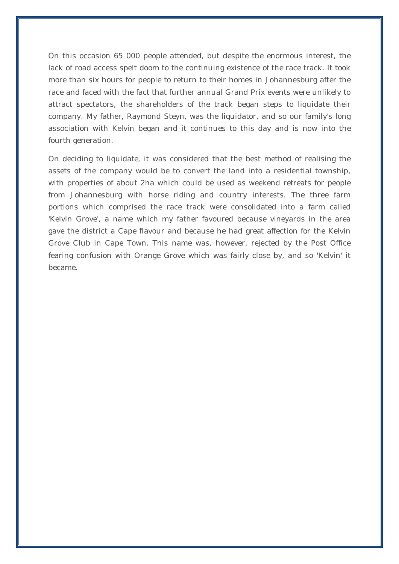On this occasion 65 000 people attended, but despite the enormous interest, the lack of road access spelt doom to the continuing existence of the race track. It took more than six hours for people to return to their homes in Johannesburg after the race and faced with the fact that further annual Grand Prix events were unlikely to attract spectators, the shareholders of the track began steps to liquidate their company. My father, Raymond Steyn, was the liquidator, and so our family's long association with Kelvin began and it continues to this day and is now into the fourth generation.

On deciding to liquidate, it was considered that the best method of realising the assets of the company would be to convert the land into a residential township, with properties of about 2ha which could be used as weekend retreats for people from Johannesburg with horse riding and country interests. The three farm portions which comprised the race track were consolidated into a farm called 'Kelvin Grove', a name which my father favoured because vineyards in the area gave the district a Cape flavour and because he had great affection for the Kelvin Grove Club in Cape Town. This name was, however, rejected by the Post Office fearing confusion with Orange Grove which was fairly close by, and so 'Kelvin' it became.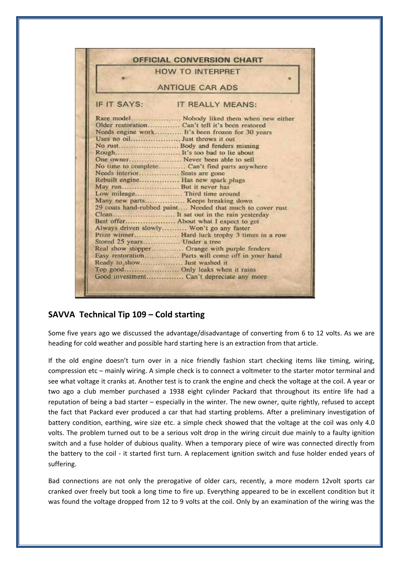|                              | <b>HOW TO INTERPRET</b>                                   |  |  |  |
|------------------------------|-----------------------------------------------------------|--|--|--|
| <b>ANTIQUE CAR ADS</b>       |                                                           |  |  |  |
| IF IT SAYS:                  | <b>IT REALLY MEANS:</b>                                   |  |  |  |
|                              | Rare model Nobody liked them when new either              |  |  |  |
|                              |                                                           |  |  |  |
|                              | Needs engine work It's been frozen for 30 years           |  |  |  |
|                              |                                                           |  |  |  |
|                              | No rust Body and fenders missing                          |  |  |  |
|                              | Rough It's too bad to lie about                           |  |  |  |
|                              |                                                           |  |  |  |
|                              | No time to complete Can't find parts anywhere             |  |  |  |
|                              | Needs interior Seats are gone                             |  |  |  |
|                              | Rebuilt engine Has new spark plugs                        |  |  |  |
|                              | May run But it never has                                  |  |  |  |
|                              | Low mileage Third time around                             |  |  |  |
|                              | Many new parts Keeps breaking down                        |  |  |  |
|                              | 29 coats hand-rubbed paint Needed that much to cover rust |  |  |  |
|                              | Clean It sat out in the rain yesterday                    |  |  |  |
|                              | Best offer About what I expect to get                     |  |  |  |
|                              | Always driven slowly Won't go any faster                  |  |  |  |
|                              | Prize winner Hard luck trophy 3 times in a row            |  |  |  |
| Stored 25 years Under a tree |                                                           |  |  |  |
|                              | Real show stopper Orange with purple fenders              |  |  |  |
|                              | Easy restoration Parts will come off in your hand         |  |  |  |
|                              |                                                           |  |  |  |
|                              | Top good Only leaks when it rains                         |  |  |  |
|                              | Good investment Can't depreciate any more                 |  |  |  |

#### **SAVVA Technical Tip 109 – Cold starting**

Some five years ago we discussed the advantage/disadvantage of converting from 6 to 12 volts. As we are heading for cold weather and possible hard starting here is an extraction from that article.

If the old engine doesn't turn over in a nice friendly fashion start checking items like timing, wiring, compression etc – mainly wiring. A simple check is to connect a voltmeter to the starter motor terminal and see what voltage it cranks at. Another test is to crank the engine and check the voltage at the coil. A year or two ago a club member purchased a 1938 eight cylinder Packard that throughout its entire life had a reputation of being a bad starter – especially in the winter. The new owner, quite rightly, refused to accept the fact that Packard ever produced a car that had starting problems. After a preliminary investigation of battery condition, earthing, wire size etc. a simple check showed that the voltage at the coil was only 4.0 volts. The problem turned out to be a serious volt drop in the wiring circuit due mainly to a faulty ignition switch and a fuse holder of dubious quality. When a temporary piece of wire was connected directly from the battery to the coil - it started first turn. A replacement ignition switch and fuse holder ended years of suffering.

Bad connections are not only the prerogative of older cars, recently, a more modern 12volt sports car cranked over freely but took a long time to fire up. Everything appeared to be in excellent condition but it was found the voltage dropped from 12 to 9 volts at the coil. Only by an examination of the wiring was the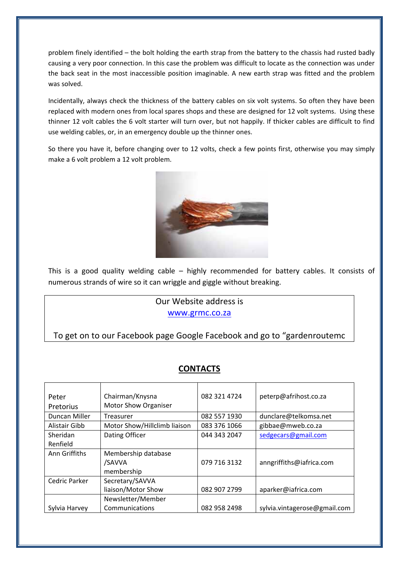problem finely identified – the bolt holding the earth strap from the battery to the chassis had rusted badly causing a very poor connection. In this case the problem was difficult to locate as the connection was under the back seat in the most inaccessible position imaginable. A new earth strap was fitted and the problem was solved.

Incidentally, always check the thickness of the battery cables on six volt systems. So often they have been replaced with modern ones from local spares shops and these are designed for 12 volt systems. Using these thinner 12 volt cables the 6 volt starter will turn over, but not happily. If thicker cables are difficult to find use welding cables, or, in an emergency double up the thinner ones.

So there you have it, before changing over to 12 volts, check a few points first, otherwise you may simply make a 6 volt problem a 12 volt problem.



This is a good quality welding cable - highly recommended for battery cables. It consists of numerous strands of wire so it can wriggle and giggle without breaking.

### Our Website address is www.grmc.co.za

To get on to our Facebook page Google Facebook and go to "gardenroutemc

### **CONTACTS**

| Peter         | Chairman/Knysna              | 082 321 4724 | peterp@afrihost.co.za        |
|---------------|------------------------------|--------------|------------------------------|
| Pretorius     | <b>Motor Show Organiser</b>  |              |                              |
| Duncan Miller | Treasurer                    | 082 557 1930 | dunclare@telkomsa.net        |
| Alistair Gibb | Motor Show/Hillclimb liaison | 083 376 1066 | gibbae@mweb.co.za            |
| Sheridan      | Dating Officer               | 044 343 2047 | sedgecars@gmail.com          |
| Renfield      |                              |              |                              |
| Ann Griffiths | Membership database          |              |                              |
|               | /SAVVA                       | 079 716 3132 | anngriffiths@iafrica.com     |
|               | membership                   |              |                              |
| Cedric Parker | Secretary/SAVVA              |              |                              |
|               | liaison/Motor Show           | 082 907 2799 | aparker@iafrica.com          |
|               | Newsletter/Member            |              |                              |
| Sylvia Harvey | Communications               | 082 958 2498 | sylvia.vintagerose@gmail.com |